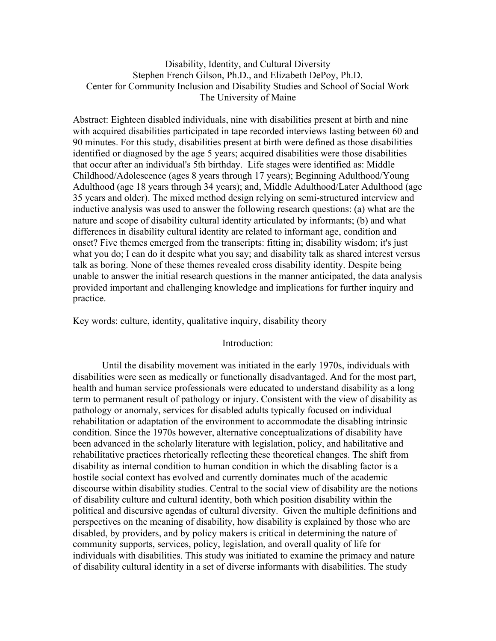# Disability, Identity, and Cultural Diversity Stephen French Gilson, Ph.D., and Elizabeth DePoy, Ph.D. Center for Community Inclusion and Disability Studies and School of Social Work The University of Maine

Abstract: Eighteen disabled individuals, nine with disabilities present at birth and nine with acquired disabilities participated in tape recorded interviews lasting between 60 and 90 minutes. For this study, disabilities present at birth were defined as those disabilities identified or diagnosed by the age 5 years; acquired disabilities were those disabilities that occur after an individual's 5th birthday. Life stages were identified as: Middle Childhood/Adolescence (ages 8 years through 17 years); Beginning Adulthood/Young Adulthood (age 18 years through 34 years); and, Middle Adulthood/Later Adulthood (age 35 years and older). The mixed method design relying on semi-structured interview and inductive analysis was used to answer the following research questions: (a) what are the nature and scope of disability cultural identity articulated by informants; (b) and what differences in disability cultural identity are related to informant age, condition and onset? Five themes emerged from the transcripts: fitting in; disability wisdom; it's just what you do; I can do it despite what you say; and disability talk as shared interest versus talk as boring. None of these themes revealed cross disability identity. Despite being unable to answer the initial research questions in the manner anticipated, the data analysis provided important and challenging knowledge and implications for further inquiry and practice.

Key words: culture, identity, qualitative inquiry, disability theory

## Introduction:

Until the disability movement was initiated in the early 1970s, individuals with disabilities were seen as medically or functionally disadvantaged. And for the most part, health and human service professionals were educated to understand disability as a long term to permanent result of pathology or injury. Consistent with the view of disability as pathology or anomaly, services for disabled adults typically focused on individual rehabilitation or adaptation of the environment to accommodate the disabling intrinsic condition. Since the 1970s however, alternative conceptualizations of disability have been advanced in the scholarly literature with legislation, policy, and habilitative and rehabilitative practices rhetorically reflecting these theoretical changes. The shift from disability as internal condition to human condition in which the disabling factor is a hostile social context has evolved and currently dominates much of the academic discourse within disability studies. Central to the social view of disability are the notions of disability culture and cultural identity, both which position disability within the political and discursive agendas of cultural diversity. Given the multiple definitions and perspectives on the meaning of disability, how disability is explained by those who are disabled, by providers, and by policy makers is critical in determining the nature of community supports, services, policy, legislation, and overall quality of life for individuals with disabilities. This study was initiated to examine the primacy and nature of disability cultural identity in a set of diverse informants with disabilities. The study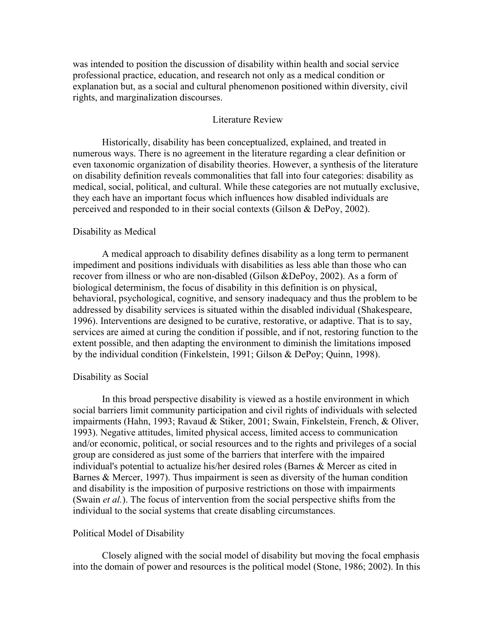was intended to position the discussion of disability within health and social service professional practice, education, and research not only as a medical condition or explanation but, as a social and cultural phenomenon positioned within diversity, civil rights, and marginalization discourses.

## Literature Review

Historically, disability has been conceptualized, explained, and treated in numerous ways. There is no agreement in the literature regarding a clear definition or even taxonomic organization of disability theories. However, a synthesis of the literature on disability definition reveals commonalities that fall into four categories: disability as medical, social, political, and cultural. While these categories are not mutually exclusive, they each have an important focus which influences how disabled individuals are perceived and responded to in their social contexts (Gilson & DePoy, 2002).

## Disability as Medical

A medical approach to disability defines disability as a long term to permanent impediment and positions individuals with disabilities as less able than those who can recover from illness or who are non-disabled (Gilson &DePoy, 2002). As a form of biological determinism, the focus of disability in this definition is on physical, behavioral, psychological, cognitive, and sensory inadequacy and thus the problem to be addressed by disability services is situated within the disabled individual (Shakespeare, 1996). Interventions are designed to be curative, restorative, or adaptive. That is to say, services are aimed at curing the condition if possible, and if not, restoring function to the extent possible, and then adapting the environment to diminish the limitations imposed by the individual condition (Finkelstein, 1991; Gilson & DePoy; Quinn, 1998).

#### Disability as Social

In this broad perspective disability is viewed as a hostile environment in which social barriers limit community participation and civil rights of individuals with selected impairments (Hahn, 1993; Ravaud & Stiker, 2001; Swain, Finkelstein, French, & Oliver, 1993). Negative attitudes, limited physical access, limited access to communication and/or economic, political, or social resources and to the rights and privileges of a social group are considered as just some of the barriers that interfere with the impaired individual's potential to actualize his/her desired roles (Barnes & Mercer as cited in Barnes & Mercer, 1997). Thus impairment is seen as diversity of the human condition and disability is the imposition of purposive restrictions on those with impairments (Swain *et al.*). The focus of intervention from the social perspective shifts from the individual to the social systems that create disabling circumstances.

## Political Model of Disability

Closely aligned with the social model of disability but moving the focal emphasis into the domain of power and resources is the political model (Stone, 1986; 2002). In this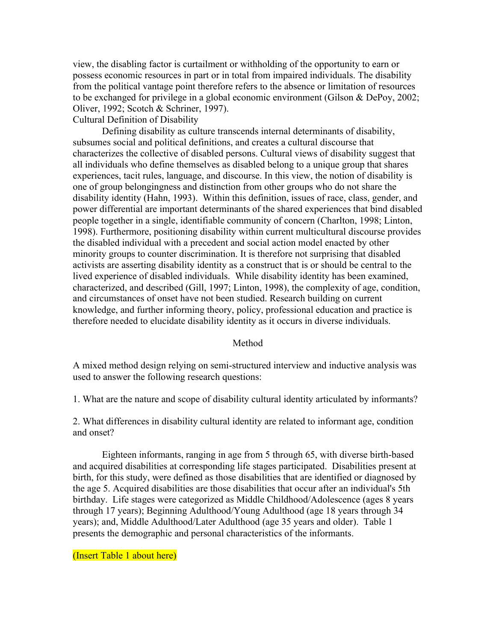view, the disabling factor is curtailment or withholding of the opportunity to earn or possess economic resources in part or in total from impaired individuals. The disability from the political vantage point therefore refers to the absence or limitation of resources to be exchanged for privilege in a global economic environment (Gilson & DePoy, 2002; Oliver, 1992; Scotch & Schriner, 1997).

## Cultural Definition of Disability

Defining disability as culture transcends internal determinants of disability, subsumes social and political definitions, and creates a cultural discourse that characterizes the collective of disabled persons. Cultural views of disability suggest that all individuals who define themselves as disabled belong to a unique group that shares experiences, tacit rules, language, and discourse. In this view, the notion of disability is one of group belongingness and distinction from other groups who do not share the disability identity (Hahn, 1993). Within this definition, issues of race, class, gender, and power differential are important determinants of the shared experiences that bind disabled people together in a single, identifiable community of concern (Charlton, 1998; Linton, 1998). Furthermore, positioning disability within current multicultural discourse provides the disabled individual with a precedent and social action model enacted by other minority groups to counter discrimination. It is therefore not surprising that disabled activists are asserting disability identity as a construct that is or should be central to the lived experience of disabled individuals. While disability identity has been examined, characterized, and described (Gill, 1997; Linton, 1998), the complexity of age, condition, and circumstances of onset have not been studied. Research building on current knowledge, and further informing theory, policy, professional education and practice is therefore needed to elucidate disability identity as it occurs in diverse individuals.

## Method

A mixed method design relying on semi-structured interview and inductive analysis was used to answer the following research questions:

1. What are the nature and scope of disability cultural identity articulated by informants?

2. What differences in disability cultural identity are related to informant age, condition and onset?

Eighteen informants, ranging in age from 5 through 65, with diverse birth-based and acquired disabilities at corresponding life stages participated. Disabilities present at birth, for this study, were defined as those disabilities that are identified or diagnosed by the age 5. Acquired disabilities are those disabilities that occur after an individual's 5th birthday. Life stages were categorized as Middle Childhood/Adolescence (ages 8 years through 17 years); Beginning Adulthood/Young Adulthood (age 18 years through 34 years); and, Middle Adulthood/Later Adulthood (age 35 years and older). Table 1 presents the demographic and personal characteristics of the informants.

(Insert Table 1 about here)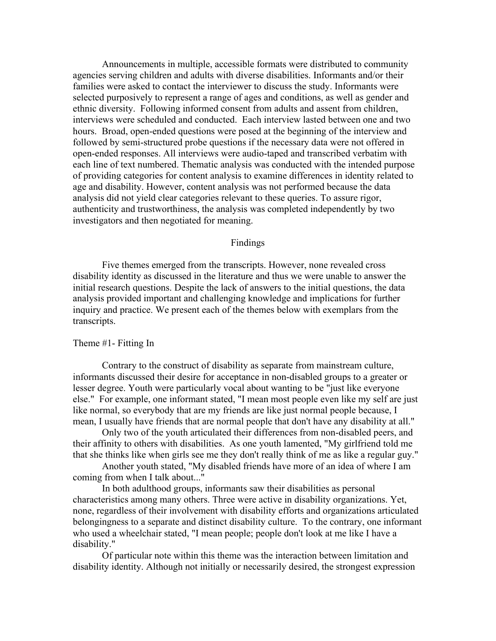Announcements in multiple, accessible formats were distributed to community agencies serving children and adults with diverse disabilities. Informants and/or their families were asked to contact the interviewer to discuss the study. Informants were selected purposively to represent a range of ages and conditions, as well as gender and ethnic diversity. Following informed consent from adults and assent from children, interviews were scheduled and conducted. Each interview lasted between one and two hours. Broad, open-ended questions were posed at the beginning of the interview and followed by semi-structured probe questions if the necessary data were not offered in open-ended responses. All interviews were audio-taped and transcribed verbatim with each line of text numbered. Thematic analysis was conducted with the intended purpose of providing categories for content analysis to examine differences in identity related to age and disability. However, content analysis was not performed because the data analysis did not yield clear categories relevant to these queries. To assure rigor, authenticity and trustworthiness, the analysis was completed independently by two investigators and then negotiated for meaning.

## Findings

Five themes emerged from the transcripts. However, none revealed cross disability identity as discussed in the literature and thus we were unable to answer the initial research questions. Despite the lack of answers to the initial questions, the data analysis provided important and challenging knowledge and implications for further inquiry and practice. We present each of the themes below with exemplars from the transcripts.

#### Theme #1- Fitting In

Contrary to the construct of disability as separate from mainstream culture, informants discussed their desire for acceptance in non-disabled groups to a greater or lesser degree. Youth were particularly vocal about wanting to be "just like everyone else." For example, one informant stated, "I mean most people even like my self are just like normal, so everybody that are my friends are like just normal people because, I mean, I usually have friends that are normal people that don't have any disability at all."

Only two of the youth articulated their differences from non-disabled peers, and their affinity to others with disabilities. As one youth lamented, "My girlfriend told me that she thinks like when girls see me they don't really think of me as like a regular guy."

Another youth stated, "My disabled friends have more of an idea of where I am coming from when I talk about..."

In both adulthood groups, informants saw their disabilities as personal characteristics among many others. Three were active in disability organizations. Yet, none, regardless of their involvement with disability efforts and organizations articulated belongingness to a separate and distinct disability culture. To the contrary, one informant who used a wheelchair stated, "I mean people; people don't look at me like I have a disability."

Of particular note within this theme was the interaction between limitation and disability identity. Although not initially or necessarily desired, the strongest expression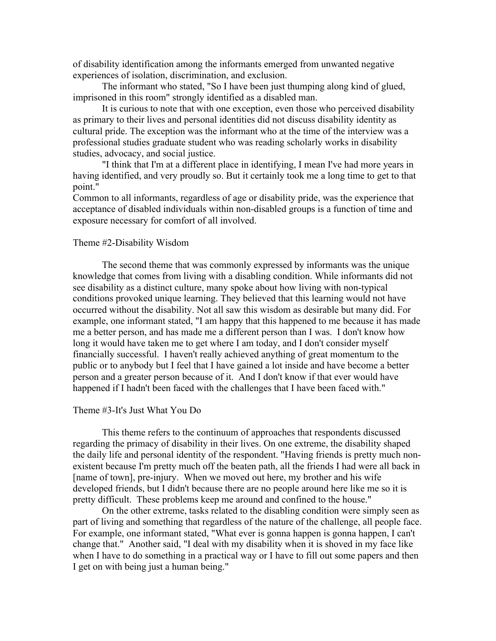of disability identification among the informants emerged from unwanted negative experiences of isolation, discrimination, and exclusion.

The informant who stated, "So I have been just thumping along kind of glued, imprisoned in this room" strongly identified as a disabled man.

It is curious to note that with one exception, even those who perceived disability as primary to their lives and personal identities did not discuss disability identity as cultural pride. The exception was the informant who at the time of the interview was a professional studies graduate student who was reading scholarly works in disability studies, advocacy, and social justice.

"I think that I'm at a different place in identifying, I mean I've had more years in having identified, and very proudly so. But it certainly took me a long time to get to that point."

Common to all informants, regardless of age or disability pride, was the experience that acceptance of disabled individuals within non-disabled groups is a function of time and exposure necessary for comfort of all involved.

## Theme #2-Disability Wisdom

The second theme that was commonly expressed by informants was the unique knowledge that comes from living with a disabling condition. While informants did not see disability as a distinct culture, many spoke about how living with non-typical conditions provoked unique learning. They believed that this learning would not have occurred without the disability. Not all saw this wisdom as desirable but many did. For example, one informant stated, "I am happy that this happened to me because it has made me a better person, and has made me a different person than I was. I don't know how long it would have taken me to get where I am today, and I don't consider myself financially successful. I haven't really achieved anything of great momentum to the public or to anybody but I feel that I have gained a lot inside and have become a better person and a greater person because of it. And I don't know if that ever would have happened if I hadn't been faced with the challenges that I have been faced with."

#### Theme #3-It's Just What You Do

This theme refers to the continuum of approaches that respondents discussed regarding the primacy of disability in their lives. On one extreme, the disability shaped the daily life and personal identity of the respondent. "Having friends is pretty much nonexistent because I'm pretty much off the beaten path, all the friends I had were all back in [name of town], pre-injury. When we moved out here, my brother and his wife developed friends, but I didn't because there are no people around here like me so it is pretty difficult. These problems keep me around and confined to the house."

On the other extreme, tasks related to the disabling condition were simply seen as part of living and something that regardless of the nature of the challenge, all people face. For example, one informant stated, "What ever is gonna happen is gonna happen, I can't change that." Another said, "I deal with my disability when it is shoved in my face like when I have to do something in a practical way or I have to fill out some papers and then I get on with being just a human being."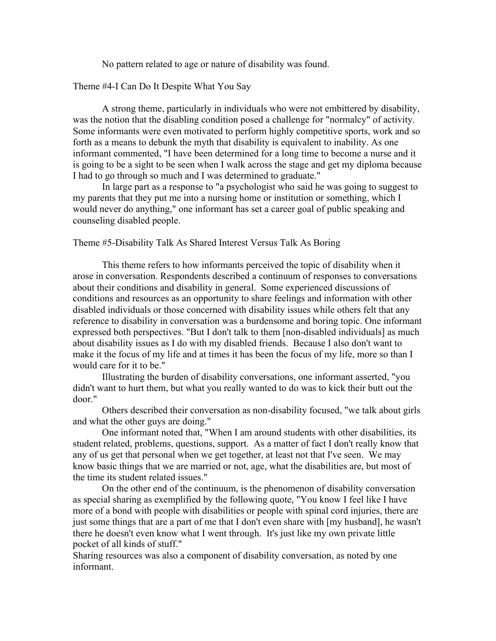No pattern related to age or nature of disability was found.

Theme #4-I Can Do It Despite What You Say

A strong theme, particularly in individuals who were not embittered by disability, was the notion that the disabling condition posed a challenge for "normalcy" of activity. Some informants were even motivated to perform highly competitive sports, work and so forth as a means to debunk the myth that disability is equivalent to inability. As one informant commented, "I have been determined for a long time to become a nurse and it is going to be a sight to be seen when I walk across the stage and get my diploma because I had to go through so much and I was determined to graduate."

In large part as a response to "a psychologist who said he was going to suggest to my parents that they put me into a nursing home or institution or something, which I would never do anything," one informant has set a career goal of public speaking and counseling disabled people.

Theme #5-Disability Talk As Shared Interest Versus Talk As Boring

This theme refers to how informants perceived the topic of disability when it arose in conversation. Respondents described a continuum of responses to conversations about their conditions and disability in general. Some experienced discussions of conditions and resources as an opportunity to share feelings and information with other disabled individuals or those concerned with disability issues while others felt that any reference to disability in conversation was a burdensome and boring topic. One informant expressed both perspectives. "But I don't talk to them [non-disabled individuals] as much about disability issues as I do with my disabled friends. Because I also don't want to make it the focus of my life and at times it has been the focus of my life, more so than I would care for it to be."

Illustrating the burden of disability conversations, one informant asserted, "you didn't want to hurt them, but what you really wanted to do was to kick their butt out the door."

Others described their conversation as non-disability focused, "we talk about girls and what the other guys are doing."

One informant noted that, "When I am around students with other disabilities, its student related, problems, questions, support. As a matter of fact I don't really know that any of us get that personal when we get together, at least not that I've seen. We may know basic things that we are married or not, age, what the disabilities are, but most of the time its student related issues."

On the other end of the continuum, is the phenomenon of disability conversation as special sharing as exemplified by the following quote, "You know I feel like I have more of a bond with people with disabilities or people with spinal cord injuries, there are just some things that are a part of me that I don't even share with [my husband], he wasn't there he doesn't even know what I went through. It's just like my own private little pocket of all kinds of stuff."

Sharing resources was also a component of disability conversation, as noted by one informant.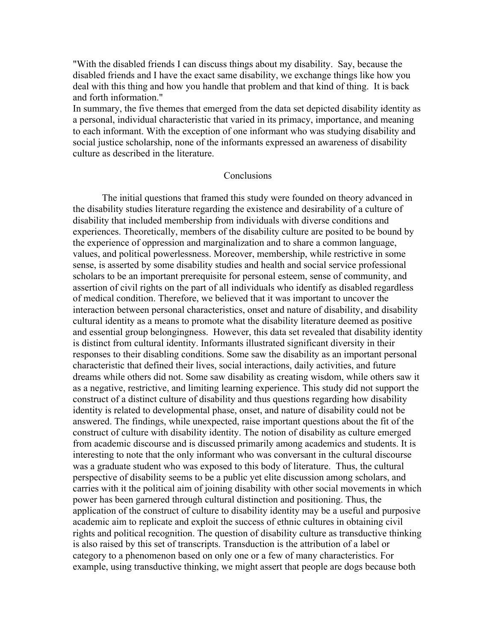"With the disabled friends I can discuss things about my disability. Say, because the disabled friends and I have the exact same disability, we exchange things like how you deal with this thing and how you handle that problem and that kind of thing. It is back and forth information."

In summary, the five themes that emerged from the data set depicted disability identity as a personal, individual characteristic that varied in its primacy, importance, and meaning to each informant. With the exception of one informant who was studying disability and social justice scholarship, none of the informants expressed an awareness of disability culture as described in the literature.

## Conclusions

The initial questions that framed this study were founded on theory advanced in the disability studies literature regarding the existence and desirability of a culture of disability that included membership from individuals with diverse conditions and experiences. Theoretically, members of the disability culture are posited to be bound by the experience of oppression and marginalization and to share a common language, values, and political powerlessness. Moreover, membership, while restrictive in some sense, is asserted by some disability studies and health and social service professional scholars to be an important prerequisite for personal esteem, sense of community, and assertion of civil rights on the part of all individuals who identify as disabled regardless of medical condition. Therefore, we believed that it was important to uncover the interaction between personal characteristics, onset and nature of disability, and disability cultural identity as a means to promote what the disability literature deemed as positive and essential group belongingness. However, this data set revealed that disability identity is distinct from cultural identity. Informants illustrated significant diversity in their responses to their disabling conditions. Some saw the disability as an important personal characteristic that defined their lives, social interactions, daily activities, and future dreams while others did not. Some saw disability as creating wisdom, while others saw it as a negative, restrictive, and limiting learning experience. This study did not support the construct of a distinct culture of disability and thus questions regarding how disability identity is related to developmental phase, onset, and nature of disability could not be answered. The findings, while unexpected, raise important questions about the fit of the construct of culture with disability identity. The notion of disability as culture emerged from academic discourse and is discussed primarily among academics and students. It is interesting to note that the only informant who was conversant in the cultural discourse was a graduate student who was exposed to this body of literature. Thus, the cultural perspective of disability seems to be a public yet elite discussion among scholars, and carries with it the political aim of joining disability with other social movements in which power has been garnered through cultural distinction and positioning. Thus, the application of the construct of culture to disability identity may be a useful and purposive academic aim to replicate and exploit the success of ethnic cultures in obtaining civil rights and political recognition. The question of disability culture as transductive thinking is also raised by this set of transcripts. Transduction is the attribution of a label or category to a phenomenon based on only one or a few of many characteristics. For example, using transductive thinking, we might assert that people are dogs because both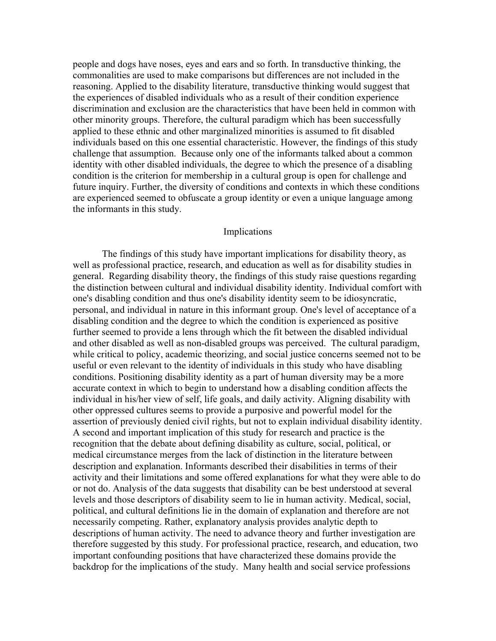people and dogs have noses, eyes and ears and so forth. In transductive thinking, the commonalities are used to make comparisons but differences are not included in the reasoning. Applied to the disability literature, transductive thinking would suggest that the experiences of disabled individuals who as a result of their condition experience discrimination and exclusion are the characteristics that have been held in common with other minority groups. Therefore, the cultural paradigm which has been successfully applied to these ethnic and other marginalized minorities is assumed to fit disabled individuals based on this one essential characteristic. However, the findings of this study challenge that assumption. Because only one of the informants talked about a common identity with other disabled individuals, the degree to which the presence of a disabling condition is the criterion for membership in a cultural group is open for challenge and future inquiry. Further, the diversity of conditions and contexts in which these conditions are experienced seemed to obfuscate a group identity or even a unique language among the informants in this study.

### Implications

The findings of this study have important implications for disability theory, as well as professional practice, research, and education as well as for disability studies in general. Regarding disability theory, the findings of this study raise questions regarding the distinction between cultural and individual disability identity. Individual comfort with one's disabling condition and thus one's disability identity seem to be idiosyncratic, personal, and individual in nature in this informant group. One's level of acceptance of a disabling condition and the degree to which the condition is experienced as positive further seemed to provide a lens through which the fit between the disabled individual and other disabled as well as non-disabled groups was perceived. The cultural paradigm, while critical to policy, academic theorizing, and social justice concerns seemed not to be useful or even relevant to the identity of individuals in this study who have disabling conditions. Positioning disability identity as a part of human diversity may be a more accurate context in which to begin to understand how a disabling condition affects the individual in his/her view of self, life goals, and daily activity. Aligning disability with other oppressed cultures seems to provide a purposive and powerful model for the assertion of previously denied civil rights, but not to explain individual disability identity. A second and important implication of this study for research and practice is the recognition that the debate about defining disability as culture, social, political, or medical circumstance merges from the lack of distinction in the literature between description and explanation. Informants described their disabilities in terms of their activity and their limitations and some offered explanations for what they were able to do or not do. Analysis of the data suggests that disability can be best understood at several levels and those descriptors of disability seem to lie in human activity. Medical, social, political, and cultural definitions lie in the domain of explanation and therefore are not necessarily competing. Rather, explanatory analysis provides analytic depth to descriptions of human activity. The need to advance theory and further investigation are therefore suggested by this study. For professional practice, research, and education, two important confounding positions that have characterized these domains provide the backdrop for the implications of the study. Many health and social service professions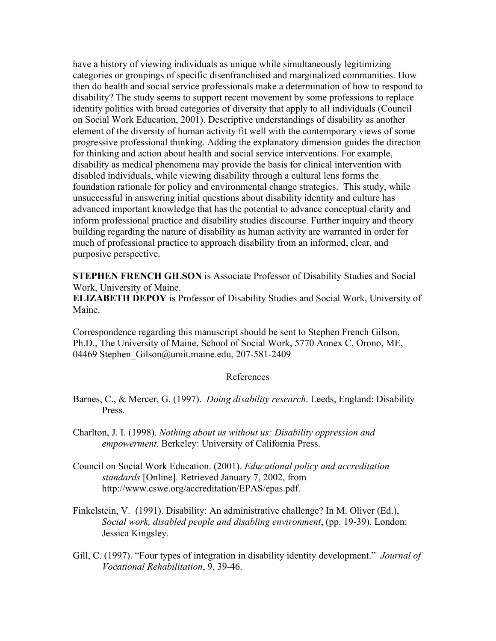have a history of viewing individuals as unique while simultaneously legitimizing categories or groupings of specific disenfranchised and marginalized communities. How then do health and social service professionals make a determination of how to respond to disability? The study seems to support recent movement by some professions to replace identity politics with broad categories of diversity that apply to all individuals (Council on Social Work Education, 2001). Descriptive understandings of disability as another element of the diversity of human activity fit well with the contemporary views of some progressive professional thinking. Adding the explanatory dimension guides the direction for thinking and action about health and social service interventions. For example, disability as medical phenomena may provide the basis for clinical intervention with disabled individuals, while viewing disability through a cultural lens forms the foundation rationale for policy and environmental change strategies. This study, while unsuccessful in answering initial questions about disability identity and culture has advanced important knowledge that has the potential to advance conceptual clarity and inform professional practice and disability studies discourse. Further inquiry and theory building regarding the nature of disability as human activity are warranted in order for much of professional practice to approach disability from an informed, clear, and purposive perspective.

**STEPHEN FRENCH GILSON** is Associate Professor of Disability Studies and Social Work, University of Maine.

**ELIZABETH DEPOY** is Professor of Disability Studies and Social Work, University of Maine.

Correspondence regarding this manuscript should be sent to Stephen French Gilson, Ph.D., The University of Maine, School of Social Work, 5770 Annex C, Orono, ME, 04469 Stephen Gilson@umit.maine.edu, 207-581-2409

## References

- Barnes, C., & Mercer, G. (1997). *Doing disability research*. Leeds, England: Disability Press.
- Charlton, J. I. (1998). *Nothing about us without us: Disability oppression and empowerment*. Berkeley: University of California Press.
- Council on Social Work Education. (2001). *Educational policy and accreditation standards* [Online]. Retrieved January 7, 2002, from http://www.cswe.org/accreditation/EPAS/epas.pdf.
- Finkelstein, V. (1991). Disability: An administrative challenge? In M. Oliver (Ed.), *Social work, disabled people and disabling environment*, (pp. 19-39). London: Jessica Kingsley.
- Gill, C. (1997). "Four types of integration in disability identity development." *Journal of Vocational Rehabilitation*, 9, 39-46.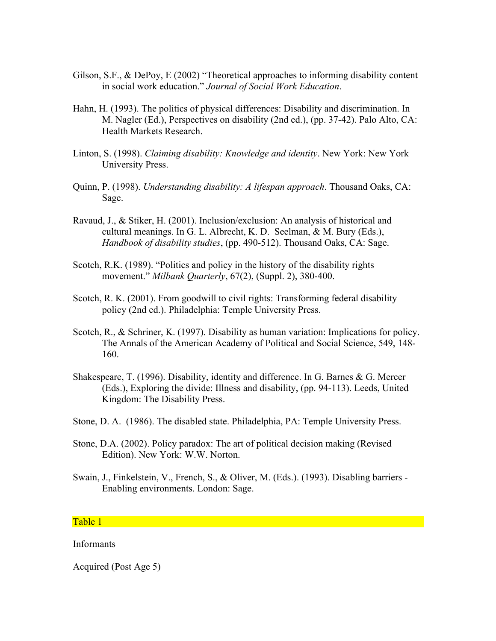- Gilson, S.F., & DePoy, E (2002) "Theoretical approaches to informing disability content in social work education." *Journal of Social Work Education*.
- Hahn, H. (1993). The politics of physical differences: Disability and discrimination. In M. Nagler (Ed.), Perspectives on disability (2nd ed.), (pp. 37-42). Palo Alto, CA: Health Markets Research.
- Linton, S. (1998). *Claiming disability: Knowledge and identity*. New York: New York University Press.
- Quinn, P. (1998). *Understanding disability: A lifespan approach*. Thousand Oaks, CA: Sage.
- Ravaud, J., & Stiker, H. (2001). Inclusion/exclusion: An analysis of historical and cultural meanings. In G. L. Albrecht, K. D. Seelman, & M. Bury (Eds.), *Handbook of disability studies*, (pp. 490-512). Thousand Oaks, CA: Sage.
- Scotch, R.K. (1989). "Politics and policy in the history of the disability rights movement." *Milbank Quarterly*, 67(2), (Suppl. 2), 380-400.
- Scotch, R. K. (2001). From goodwill to civil rights: Transforming federal disability policy (2nd ed.). Philadelphia: Temple University Press.
- Scotch, R., & Schriner, K. (1997). Disability as human variation: Implications for policy. The Annals of the American Academy of Political and Social Science, 549, 148- 160.
- Shakespeare, T. (1996). Disability, identity and difference. In G. Barnes & G. Mercer (Eds.), Exploring the divide: Illness and disability, (pp. 94-113). Leeds, United Kingdom: The Disability Press.
- Stone, D. A. (1986). The disabled state. Philadelphia, PA: Temple University Press.
- Stone, D.A. (2002). Policy paradox: The art of political decision making (Revised Edition). New York: W.W. Norton.
- Swain, J., Finkelstein, V., French, S., & Oliver, M. (Eds.). (1993). Disabling barriers Enabling environments. London: Sage.

## Table 1

### Informants

Acquired (Post Age 5)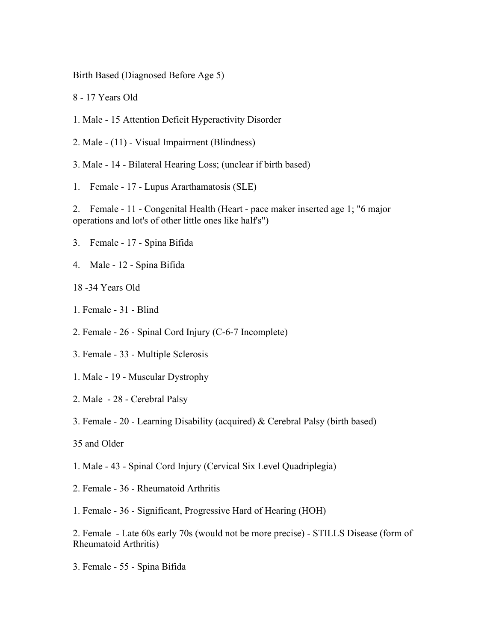Birth Based (Diagnosed Before Age 5)

8 - 17 Years Old

- 1. Male 15 Attention Deficit Hyperactivity Disorder
- 2. Male (11) Visual Impairment (Blindness)
- 3. Male 14 Bilateral Hearing Loss; (unclear if birth based)
- 1. Female 17 Lupus Ararthamatosis (SLE)

2. Female - 11 - Congenital Health (Heart - pace maker inserted age 1; "6 major operations and lot's of other little ones like half's")

- 3. Female 17 Spina Bifida
- 4. Male 12 Spina Bifida
- 18 -34 Years Old
- 1. Female 31 Blind
- 2. Female 26 Spinal Cord Injury (C-6-7 Incomplete)
- 3. Female 33 Multiple Sclerosis
- 1. Male 19 Muscular Dystrophy
- 2. Male 28 Cerebral Palsy
- 3. Female 20 Learning Disability (acquired) & Cerebral Palsy (birth based)
- 35 and Older
- 1. Male 43 Spinal Cord Injury (Cervical Six Level Quadriplegia)
- 2. Female 36 Rheumatoid Arthritis
- 1. Female 36 Significant, Progressive Hard of Hearing (HOH)

2. Female - Late 60s early 70s (would not be more precise) - STILLS Disease (form of Rheumatoid Arthritis)

3. Female - 55 - Spina Bifida